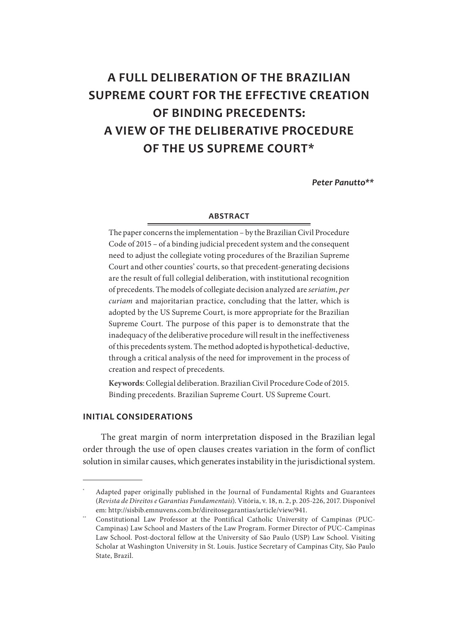# **A FULL DELIBERATION OF THE BRAZILIAN SUPREME COURT FOR THE EFFECTIVE CREATION OF BINDING PRECEDENTS: A VIEW OF THE DELIBERATIVE PROCEDURE OF THE US SUPREME COURT\***

Peter Panutto<sup>\*\*</sup>

#### **ABSTRACT**

The paper concerns the implementation – by the Brazilian Civil Procedure Code of 2015 – of a binding judicial precedent system and the consequent need to adjust the collegiate voting procedures of the Brazilian Supreme Court and other counties' courts, so that precedent-generating decisions are the result of full collegial deliberation, with institutional recognition of precedents. The models of collegiate decision analyzed are *seriatim*, *per curiam* and majoritarian practice, concluding that the latter, which is adopted by the US Supreme Court, is more appropriate for the Brazilian Supreme Court. The purpose of this paper is to demonstrate that the inadequacy of the deliberative procedure will result in the ineffectiveness of this precedents system. The method adopted is hypothetical-deductive, through a critical analysis of the need for improvement in the process of creation and respect of precedents.

**Keywords**: Collegial deliberation. Brazilian Civil Procedure Code of 2015. Binding precedents. Brazilian Supreme Court. US Supreme Court.

#### **INITIAL CONSIDERATIONS**

The great margin of norm interpretation disposed in the Brazilian legal order through the use of open clauses creates variation in the form of conflict solution in similar causes, which generates instability in the jurisdictional system.

<sup>\*</sup> Adapted paper originally published in the Journal of Fundamental Rights and Guarantees (*Revista de Direitos e Garantias Fundamentais*). Vitória, v. 18, n. 2, p. 205-226, 2017. Disponível em: http://sisbib.emnuvens.com.br/direitosegarantias/article/view/941.

<sup>\*\*</sup> Constitutional Law Professor at the Pontifical Catholic University of Campinas (PUC-Campinas) Law School and Masters of the Law Program. Former Director of PUC-Campinas Law School. Post-doctoral fellow at the University of São Paulo (USP) Law School. Visiting Scholar at Washington University in St. Louis. Justice Secretary of Campinas City, São Paulo State, Brazil.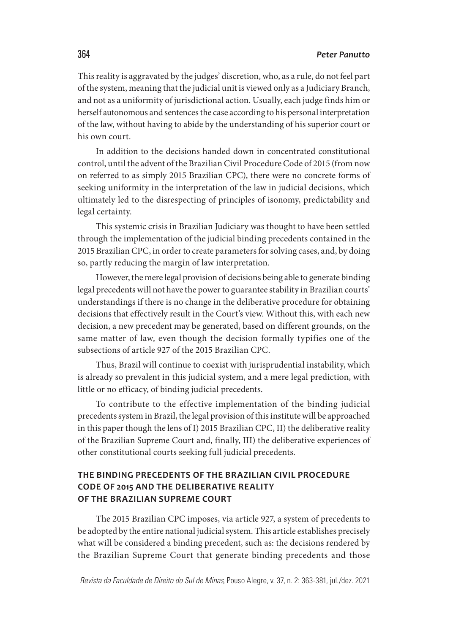This reality is aggravated by the judges' discretion, who, as a rule, do not feel part of the system, meaning that the judicial unit is viewed only as a Judiciary Branch, and not as a uniformity of jurisdictional action. Usually, each judge finds him or herself autonomous and sentences the case according to his personal interpretation of the law, without having to abide by the understanding of his superior court or his own court.

In addition to the decisions handed down in concentrated constitutional control, until the advent of the Brazilian Civil Procedure Code of 2015 (from now on referred to as simply 2015 Brazilian CPC), there were no concrete forms of seeking uniformity in the interpretation of the law in judicial decisions, which ultimately led to the disrespecting of principles of isonomy, predictability and legal certainty.

This systemic crisis in Brazilian Judiciary was thought to have been settled through the implementation of the judicial binding precedents contained in the 2015 Brazilian CPC, in order to create parameters for solving cases, and, by doing so, partly reducing the margin of law interpretation.

However, the mere legal provision of decisions being able to generate binding legal precedents will not have the power to guarantee stability in Brazilian courts' understandings if there is no change in the deliberative procedure for obtaining decisions that effectively result in the Court's view. Without this, with each new decision, a new precedent may be generated, based on different grounds, on the same matter of law, even though the decision formally typifies one of the subsections of article 927 of the 2015 Brazilian CPC.

Thus, Brazil will continue to coexist with jurisprudential instability, which is already so prevalent in this judicial system, and a mere legal prediction, with little or no efficacy, of binding judicial precedents.

To contribute to the effective implementation of the binding judicial precedents system in Brazil, the legal provision of this institute will be approached in this paper though the lens of I) 2015 Brazilian CPC, II) the deliberative reality of the Brazilian Supreme Court and, finally, III) the deliberative experiences of other constitutional courts seeking full judicial precedents.

# **THE BINDING PRECEDENTS OF THE BRAZILIAN CIVIL PROCEDURE CODE OF 2015 AND THE DELIBERATIVE REALITY OF THE BRAZILIAN SUPREME COURT**

The 2015 Brazilian CPC imposes, via article 927, a system of precedents to be adopted by the entire national judicial system. This article establishes precisely what will be considered a binding precedent, such as: the decisions rendered by the Brazilian Supreme Court that generate binding precedents and those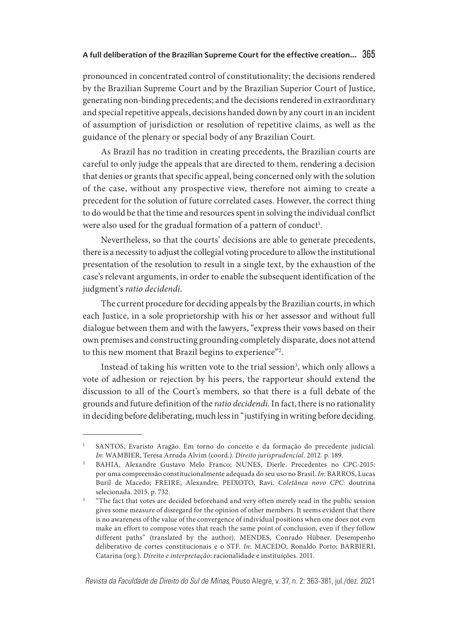pronounced in concentrated control of constitutionality; the decisions rendered by the Brazilian Supreme Court and by the Brazilian Superior Court of Justice, generating non-binding precedents; and the decisions rendered in extraordinary and special repetitive appeals, decisions handed down by any court in an incident of assumption of jurisdiction or resolution of repetitive claims, as well as the guidance of the plenary or special body of any Brazilian Court.

As Brazil has no tradition in creating precedents, the Brazilian courts are careful to only judge the appeals that are directed to them, rendering a decision that denies or grants that specific appeal, being concerned only with the solution of the case, without any prospective view, therefore not aiming to create a precedent for the solution of future correlated cases. However, the correct thing to do would be that the time and resources spent in solving the individual conflict were also used for the gradual formation of a pattern of conduct<sup>1</sup>.

Nevertheless, so that the courts' decisions are able to generate precedents, there is a necessity to adjust the collegial voting procedure to allow the institutional presentation of the resolution to result in a single text, by the exhaustion of the case's relevant arguments, in order to enable the subsequent identification of the judgment's *ratio decidendi*.

The current procedure for deciding appeals by the Brazilian courts, in which each Justice, in a sole proprietorship with his or her assessor and without full dialogue between them and with the lawyers, "express their vows based on their own premises and constructing grounding completely disparate, does not attend to this new moment that Brazil begins to experience"2 .

Instead of taking his written vote to the trial session<sup>3</sup>, which only allows a vote of adhesion or rejection by his peers, the rapporteur should extend the discussion to all of the Court's members, so that there is a full debate of the grounds and future definition of the *ratio decidendi*. In fact, there is no rationality in deciding before deliberating, much less in "justifying in writing before deciding.

<sup>&</sup>lt;sup>1</sup> SANTOS, Evaristo Aragão. Em torno do conceito e da formação do precedente judicial. *In*: WAMBIER, Teresa Arruda Alvim (coord.). *Direito jurisprudencial*. 2012. p. 189.

<sup>2</sup> BAHIA, Alexandre Gustavo Melo Franco; NUNES, Dierle. Precedentes no CPC-2015: por uma compreensão constitucionalmente adequada do seu uso no Brasil. *In*: BARROS, Lucas Buril de Macedo; FREIRE, Alexandre; PEIXOTO, Ravi. *Coletânea novo CPC*: doutrina selecionada. 2015. p. 732.

<sup>3</sup> "The fact that votes are decided beforehand and very often merely read in the public session gives some measure of disregard for the opinion of other members. It seems evident that there is no awareness of the value of the convergence of individual positions when one does not even make an effort to compose votes that reach the same point of conclusion, even if they follow different paths" (translated by the author). MENDES, Conrado Hübner. Desempenho deliberativo de cortes constitucionais e o STF. *In*: MACEDO, Ronaldo Porto; BARBIERI, Catarina (org.). *Direito e interpretação*: racionalidade e instituições. 2011.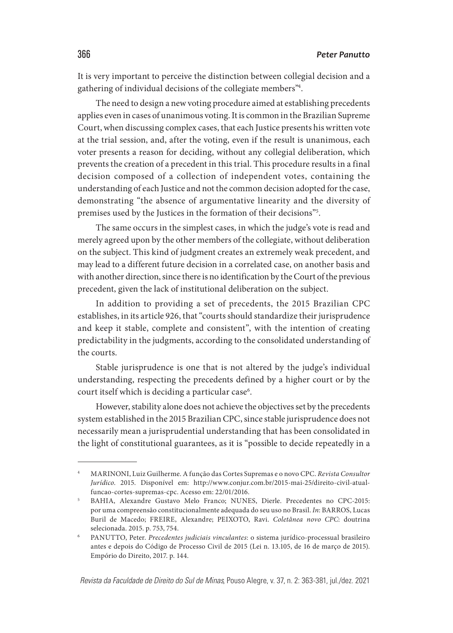It is very important to perceive the distinction between collegial decision and a gathering of individual decisions of the collegiate members"4 .

The need to design a new voting procedure aimed at establishing precedents applies even in cases of unanimous voting. It is common in the Brazilian Supreme Court, when discussing complex cases, that each Justice presents his written vote at the trial session, and, after the voting, even if the result is unanimous, each voter presents a reason for deciding, without any collegial deliberation, which prevents the creation of a precedent in this trial. This procedure results in a final decision composed of a collection of independent votes, containing the understanding of each Justice and not the common decision adopted for the case, demonstrating "the absence of argumentative linearity and the diversity of premises used by the Justices in the formation of their decisions"5 .

The same occurs in the simplest cases, in which the judge's vote is read and merely agreed upon by the other members of the collegiate, without deliberation on the subject. This kind of judgment creates an extremely weak precedent, and may lead to a different future decision in a correlated case, on another basis and with another direction, since there is no identification by the Court of the previous precedent, given the lack of institutional deliberation on the subject.

In addition to providing a set of precedents, the 2015 Brazilian CPC establishes, in its article 926, that "courts should standardize their jurisprudence and keep it stable, complete and consistent", with the intention of creating predictability in the judgments, according to the consolidated understanding of the courts.

Stable jurisprudence is one that is not altered by the judge's individual understanding, respecting the precedents defined by a higher court or by the court itself which is deciding a particular case<sup>6</sup>.

However, stability alone does not achieve the objectives set by the precedents system established in the 2015 Brazilian CPC, since stable jurisprudence does not necessarily mean a jurisprudential understanding that has been consolidated in the light of constitutional guarantees, as it is "possible to decide repeatedly in a

<sup>4</sup> MARINONI, Luiz Guilherme. A função das Cortes Supremas e o novo CPC. *Revista Consultor Jurídico*. 2015. Disponível em: http://www.conjur.com.br/2015-mai-25/direito-civil-atualfuncao-cortes-supremas-cpc. Acesso em: 22/01/2016.

<sup>5</sup> BAHIA, Alexandre Gustavo Melo Franco; NUNES, Dierle. Precedentes no CPC-2015: por uma compreensão constitucionalmente adequada do seu uso no Brasil. *In*: BARROS, Lucas Buril de Macedo; FREIRE, Alexandre; PEIXOTO, Ravi. *Coletânea novo CPC*: doutrina selecionada. 2015. p. 753, 754.

<sup>6</sup> PANUTTO, Peter. *Precedentes judiciais vinculantes*: o sistema jurídico-processual brasileiro antes e depois do Código de Processo Civil de 2015 (Lei n. 13.105, de 16 de março de 2015). Empório do Direito, 2017. p. 144.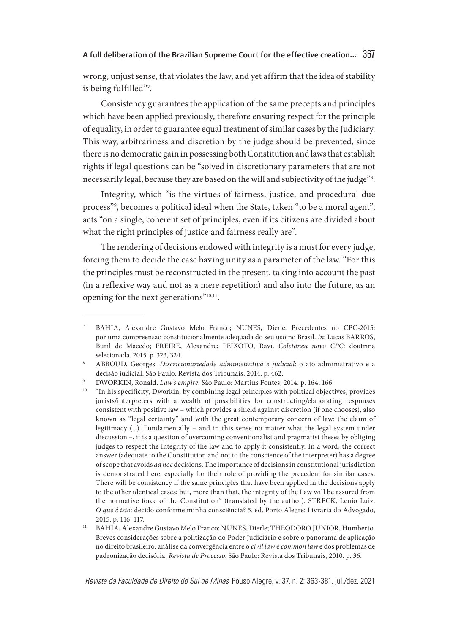wrong, unjust sense, that violates the law, and yet affirm that the idea of stability is being fulfilled"7 .

Consistency guarantees the application of the same precepts and principles which have been applied previously, therefore ensuring respect for the principle of equality, in order to guarantee equal treatment of similar cases by the Judiciary. This way, arbitrariness and discretion by the judge should be prevented, since there is no democratic gain in possessing both Constitution and laws that establish rights if legal questions can be "solved in discretionary parameters that are not necessarily legal, because they are based on the will and subjectivity of the judge"8 .

Integrity, which "is the virtues of fairness, justice, and procedural due process"9 , becomes a political ideal when the State, taken "to be a moral agent", acts "on a single, coherent set of principles, even if its citizens are divided about what the right principles of justice and fairness really are".

The rendering of decisions endowed with integrity is a must for every judge, forcing them to decide the case having unity as a parameter of the law. "For this the principles must be reconstructed in the present, taking into account the past (in a reflexive way and not as a mere repetition) and also into the future, as an opening for the next generations"10,11.

<sup>7</sup> BAHIA, Alexandre Gustavo Melo Franco; NUNES, Dierle. Precedentes no CPC-2015: por uma compreensão constitucionalmente adequada do seu uso no Brasil. *In*: Lucas BARROS, Buril de Macedo; FREIRE, Alexandre; PEIXOTO, Ravi. *Coletânea novo CPC*: doutrina selecionada. 2015. p. 323, 324.

<sup>8</sup> ABBOUD, Georges. *Discricionariedade administrativa e judicial*: o ato administrativo e a decisão judicial. São Paulo: Revista dos Tribunais, 2014. p. 462.

<sup>9</sup> DWORKIN, Ronald. *Law's empire*. São Paulo: Martins Fontes, 2014. p. 164, 166.

<sup>&</sup>quot;In his specificity, Dworkin, by combining legal principles with political objectives, provides jurists/interpreters with a wealth of possibilities for constructing/elaborating responses consistent with positive law – which provides a shield against discretion (if one chooses), also known as "legal certainty" and with the great contemporary concern of law: the claim of legitimacy (...). Fundamentally – and in this sense no matter what the legal system under discussion –, it is a question of overcoming conventionalist and pragmatist theses by obliging judges to respect the integrity of the law and to apply it consistently. In a word, the correct answer (adequate to the Constitution and not to the conscience of the interpreter) has a degree of scope that avoids *ad hoc* decisions. The importance of decisions in constitutional jurisdiction is demonstrated here, especially for their role of providing the precedent for similar cases. There will be consistency if the same principles that have been applied in the decisions apply to the other identical cases; but, more than that, the integrity of the Law will be assured from the normative force of the Constitution" (translated by the author). STRECK, Lenio Luiz. *O que é isto*: decido conforme minha consciência? 5. ed. Porto Alegre: Livraria do Advogado, 2015. p. 116, 117.

<sup>11</sup> BAHIA, Alexandre Gustavo Melo Franco; NUNES, Dierle; THEODORO JÚNIOR, Humberto. Breves considerações sobre a politização do Poder Judiciário e sobre o panorama de aplicação no direito brasileiro: análise da convergência entre o *civil law* e *common law* e dos problemas de padronização decisória. *Revista de Processo*. São Paulo: Revista dos Tribunais, 2010. p. 36.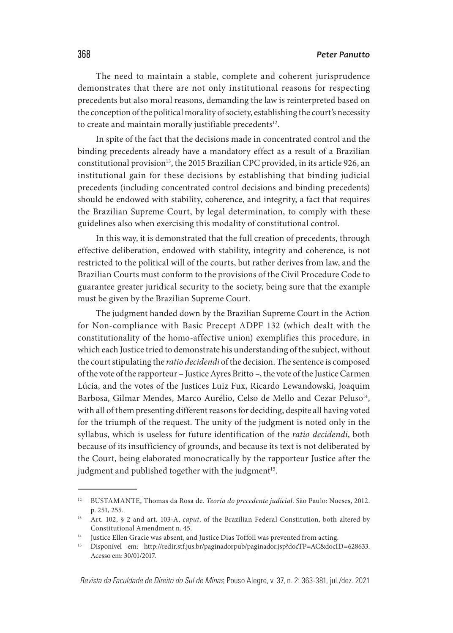The need to maintain a stable, complete and coherent jurisprudence demonstrates that there are not only institutional reasons for respecting precedents but also moral reasons, demanding the law is reinterpreted based on the conception of the political morality of society, establishing the court's necessity to create and maintain morally justifiable precedents<sup>12</sup>.

In spite of the fact that the decisions made in concentrated control and the binding precedents already have a mandatory effect as a result of a Brazilian constitutional provision<sup>13</sup>, the 2015 Brazilian CPC provided, in its article 926, an institutional gain for these decisions by establishing that binding judicial precedents (including concentrated control decisions and binding precedents) should be endowed with stability, coherence, and integrity, a fact that requires the Brazilian Supreme Court, by legal determination, to comply with these guidelines also when exercising this modality of constitutional control.

In this way, it is demonstrated that the full creation of precedents, through effective deliberation, endowed with stability, integrity and coherence, is not restricted to the political will of the courts, but rather derives from law, and the Brazilian Courts must conform to the provisions of the Civil Procedure Code to guarantee greater juridical security to the society, being sure that the example must be given by the Brazilian Supreme Court.

The judgment handed down by the Brazilian Supreme Court in the Action for Non-compliance with Basic Precept ADPF 132 (which dealt with the constitutionality of the homo-affective union) exemplifies this procedure, in which each Justice tried to demonstrate his understanding of the subject, without the court stipulating the *ratio decidendi* of the decision. The sentence is composed of the vote of the rapporteur – Justice Ayres Britto –, the vote of the Justice Carmen Lúcia, and the votes of the Justices Luiz Fux, Ricardo Lewandowski, Joaquim Barbosa, Gilmar Mendes, Marco Aurélio, Celso de Mello and Cezar Peluso<sup>14</sup>, with all of them presenting different reasons for deciding, despite all having voted for the triumph of the request. The unity of the judgment is noted only in the syllabus, which is useless for future identification of the *ratio decidendi*, both because of its insufficiency of grounds, and because its text is not deliberated by the Court, being elaborated monocratically by the rapporteur Justice after the judgment and published together with the judgment<sup>15</sup>.

<sup>12</sup> BUSTAMANTE, Thomas da Rosa de. *Teoria do precedente judicial*. São Paulo: Noeses, 2012. p. 251, 255.

<sup>13</sup> Art. 102, § 2 and art. 103-A, *caput*, of the Brazilian Federal Constitution, both altered by Constitutional Amendment n. 45.

<sup>&</sup>lt;sup>14</sup> Justice Ellen Gracie was absent, and Justice Dias Toffoli was prevented from acting.

<sup>15</sup> Disponível em: http://redir.stf.jus.br/paginadorpub/paginador.jsp?docTP=AC&docID=628633. Acesso em: 30/01/2017.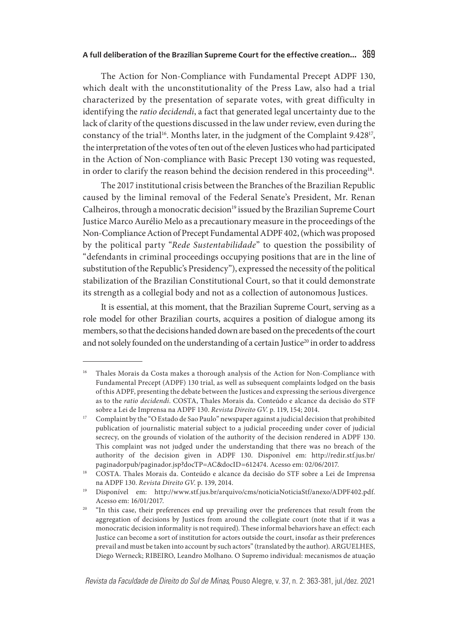The Action for Non-Compliance with Fundamental Precept ADPF 130, which dealt with the unconstitutionality of the Press Law, also had a trial characterized by the presentation of separate votes, with great difficulty in identifying the *ratio decidendi*, a fact that generated legal uncertainty due to the lack of clarity of the questions discussed in the law under review, even during the constancy of the trial<sup>16</sup>. Months later, in the judgment of the Complaint 9.428<sup>17</sup>, the interpretation of the votes of ten out of the eleven Justices who had participated in the Action of Non-compliance with Basic Precept 130 voting was requested, in order to clarify the reason behind the decision rendered in this proceeding<sup>18</sup>.

The 2017 institutional crisis between the Branches of the Brazilian Republic caused by the liminal removal of the Federal Senate's President, Mr. Renan Calheiros, through a monocratic decision<sup>19</sup> issued by the Brazilian Supreme Court Justice Marco Aurélio Melo as a precautionary measure in the proceedings of the Non-Compliance Action of Precept Fundamental ADPF 402, (which was proposed by the political party "*Rede Sustentabilidade*" to question the possibility of "defendants in criminal proceedings occupying positions that are in the line of substitution of the Republic's Presidency"), expressed the necessity of the political stabilization of the Brazilian Constitutional Court, so that it could demonstrate its strength as a collegial body and not as a collection of autonomous Justices.

It is essential, at this moment, that the Brazilian Supreme Court, serving as a role model for other Brazilian courts, acquires a position of dialogue among its members, so that the decisions handed down are based on the precedents of the court and not solely founded on the understanding of a certain Justice<sup>20</sup> in order to address

<sup>16</sup> Thales Morais da Costa makes a thorough analysis of the Action for Non-Compliance with Fundamental Precept (ADPF) 130 trial, as well as subsequent complaints lodged on the basis of this ADPF, presenting the debate between the Justices and expressing the serious divergence as to the *ratio decidendi*. COSTA, Thales Morais da. Conteúdo e alcance da decisão do STF sobre a Lei de Imprensa na ADPF 130. *Revista Direito GV*. p. 119, 154; 2014.

<sup>17</sup> Complaint by the "O Estado de Sao Paulo" newspaper against a judicial decision that prohibited publication of journalistic material subject to a judicial proceeding under cover of judicial secrecy, on the grounds of violation of the authority of the decision rendered in ADPF 130. This complaint was not judged under the understanding that there was no breach of the authority of the decision given in ADPF 130. Disponível em: http://redir.stf.jus.br/ paginadorpub/paginador.jsp?docTP=AC&docID=612474. Acesso em: 02/06/2017.

<sup>&</sup>lt;sup>18</sup> COSTA. Thales Morais da. Conteúdo e alcance da decisão do STF sobre a Lei de Imprensa na ADPF 130. *Revista Direito GV*. p. 139, 2014.

<sup>19</sup> Disponível em: http://www.stf.jus.br/arquivo/cms/noticiaNoticiaStf/anexo/ADPF402.pdf. Acesso em: 16/01/2017.

<sup>&</sup>lt;sup>20</sup> "In this case, their preferences end up prevailing over the preferences that result from the aggregation of decisions by Justices from around the collegiate court (note that if it was a monocratic decision informality is not required). These informal behaviors have an effect: each Justice can become a sort of institution for actors outside the court, insofar as their preferences prevail and must be taken into account by such actors" (translated by the author). ARGUELHES, Diego Werneck; RIBEIRO, Leandro Molhano. O Supremo individual: mecanismos de atuação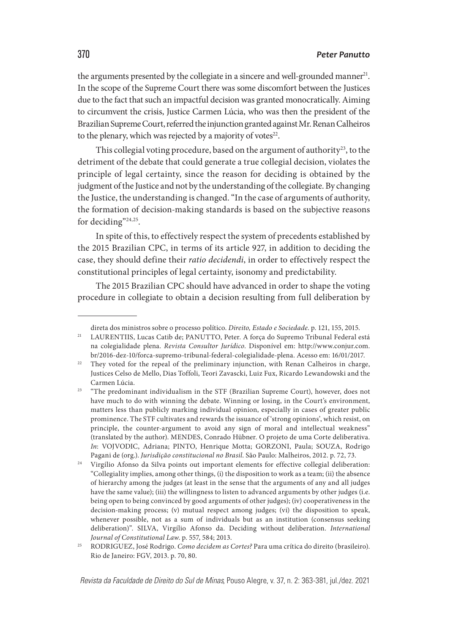the arguments presented by the collegiate in a sincere and well-grounded manner<sup>21</sup>. In the scope of the Supreme Court there was some discomfort between the Justices due to the fact that such an impactful decision was granted monocratically. Aiming to circumvent the crisis, Justice Carmen Lúcia, who was then the president of the Brazilian Supreme Court, referred the injunction granted against Mr. Renan Calheiros to the plenary, which was rejected by a majority of votes<sup>22</sup>.

This collegial voting procedure, based on the argument of authority<sup>23</sup>, to the detriment of the debate that could generate a true collegial decision, violates the principle of legal certainty, since the reason for deciding is obtained by the judgment of the Justice and not by the understanding of the collegiate. By changing the Justice, the understanding is changed. "In the case of arguments of authority, the formation of decision-making standards is based on the subjective reasons for deciding"<sup>24,25</sup>.

In spite of this, to effectively respect the system of precedents established by the 2015 Brazilian CPC, in terms of its article 927, in addition to deciding the case, they should define their *ratio decidendi*, in order to effectively respect the constitutional principles of legal certainty, isonomy and predictability.

The 2015 Brazilian CPC should have advanced in order to shape the voting procedure in collegiate to obtain a decision resulting from full deliberation by

direta dos ministros sobre o processo político. *Direito, Estado e Sociedade*. p. 121, 155, 2015.

<sup>&</sup>lt;sup>21</sup> LAURENTIIS, Lucas Catib de; PANUTTO, Peter. A força do Supremo Tribunal Federal está na colegialidade plena. *Revista Consultor Jurídico*. Disponível em: http://www.conjur.com. br/2016-dez-10/forca-supremo-tribunal-federal-colegialidade-plena. Acesso em: 16/01/2017.

<sup>&</sup>lt;sup>22</sup> They voted for the repeal of the preliminary injunction, with Renan Calheiros in charge, Justices Celso de Mello, Dias Toffoli, Teori Zavascki, Luiz Fux, Ricardo Lewandowski and the Carmen Lúcia.

<sup>&</sup>lt;sup>23</sup> "The predominant individualism in the STF (Brazilian Supreme Court), however, does not have much to do with winning the debate. Winning or losing, in the Court's environment, matters less than publicly marking individual opinion, especially in cases of greater public prominence. The STF cultivates and rewards the issuance of 'strong opinions', which resist, on principle, the counter-argument to avoid any sign of moral and intellectual weakness" (translated by the author). MENDES, Conrado Hübner. O projeto de uma Corte deliberativa. *In*: VOJVODIC, Adriana; PINTO, Henrique Motta; GORZONI, Paula; SOUZA, Rodrigo Pagani de (org.). *Jurisdição constitucional no Brasil*. São Paulo: Malheiros, 2012. p. 72, 73.

<sup>&</sup>lt;sup>24</sup> Virgílio Afonso da Silva points out important elements for effective collegial deliberation: "Collegiality implies, among other things, (i) the disposition to work as a team; (ii) the absence of hierarchy among the judges (at least in the sense that the arguments of any and all judges have the same value); (iii) the willingness to listen to advanced arguments by other judges (i.e. being open to being convinced by good arguments of other judges); (iv) cooperativeness in the decision-making process; (v) mutual respect among judges; (vi) the disposition to speak, whenever possible, not as a sum of individuals but as an institution (consensus seeking deliberation)". SILVA, Virgílio Afonso da. Deciding without deliberation. *International Journal of Constitutional Law*. p. 557, 584; 2013.

<sup>25</sup> RODRIGUEZ, José Rodrigo. *Como decidem as Cortes?* Para uma crítica do direito (brasileiro). Rio de Janeiro: FGV, 2013. p. 70, 80.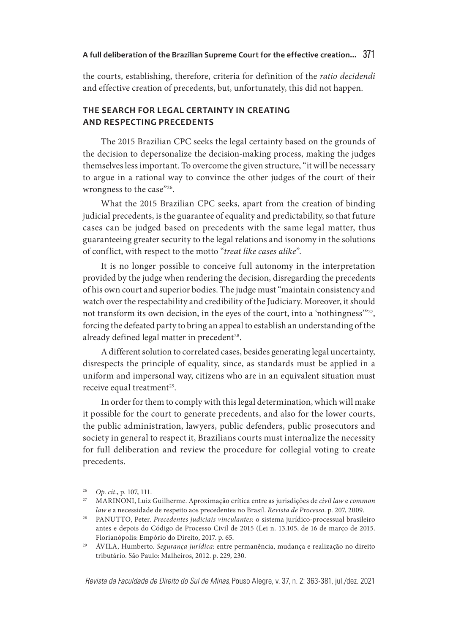the courts, establishing, therefore, criteria for definition of the *ratio decidendi* and effective creation of precedents, but, unfortunately, this did not happen.

# **THE SEARCH FOR LEGAL CERTAINTY IN CREATING AND RESPECTING PRECEDENTS**

The 2015 Brazilian CPC seeks the legal certainty based on the grounds of the decision to depersonalize the decision-making process, making the judges themselves less important. To overcome the given structure, "it will be necessary to argue in a rational way to convince the other judges of the court of their wrongness to the case"26.

What the 2015 Brazilian CPC seeks, apart from the creation of binding judicial precedents, is the guarantee of equality and predictability, so that future cases can be judged based on precedents with the same legal matter, thus guaranteeing greater security to the legal relations and isonomy in the solutions of conflict, with respect to the motto "*treat like cases alike*".

It is no longer possible to conceive full autonomy in the interpretation provided by the judge when rendering the decision, disregarding the precedents of his own court and superior bodies. The judge must "maintain consistency and watch over the respectability and credibility of the Judiciary. Moreover, it should not transform its own decision, in the eyes of the court, into a 'nothingness'"27, forcing the defeated party to bring an appeal to establish an understanding of the already defined legal matter in precedent<sup>28</sup>.

A different solution to correlated cases, besides generating legal uncertainty, disrespects the principle of equality, since, as standards must be applied in a uniform and impersonal way, citizens who are in an equivalent situation must receive equal treatment<sup>29</sup>.

In order for them to comply with this legal determination, which will make it possible for the court to generate precedents, and also for the lower courts, the public administration, lawyers, public defenders, public prosecutors and society in general to respect it, Brazilians courts must internalize the necessity for full deliberation and review the procedure for collegial voting to create precedents.

<sup>26</sup> *Op. cit*., p. 107, 111.

<sup>27</sup> MARINONI, Luiz Guilherme. Aproximação crítica entre as jurisdições de *civil law* e *common law* e a necessidade de respeito aos precedentes no Brasil. *Revista de Processo*. p. 207, 2009.

<sup>28</sup> PANUTTO, Peter. *Precedentes judiciais vinculantes*: o sistema jurídico-processual brasileiro antes e depois do Código de Processo Civil de 2015 (Lei n. 13.105, de 16 de março de 2015. Florianópolis: Empório do Direito, 2017. p. 65.

<sup>29</sup> ÁVILA, Humberto. *Segurança jurídica*: entre permanência, mudança e realização no direito tributário. São Paulo: Malheiros, 2012. p. 229, 230.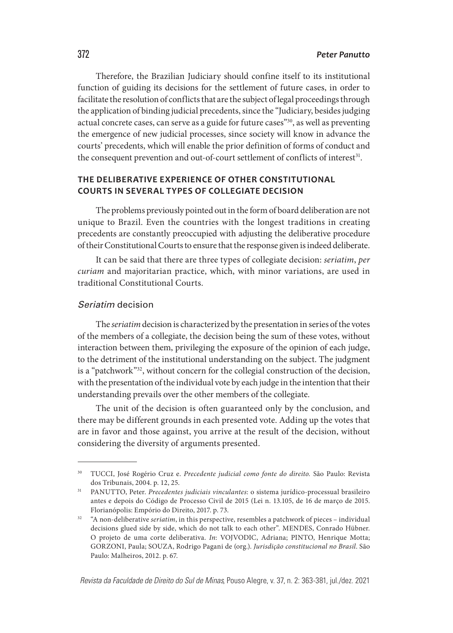Therefore, the Brazilian Judiciary should confine itself to its institutional function of guiding its decisions for the settlement of future cases, in order to facilitate the resolution of conflicts that are the subject of legal proceedings through the application of binding judicial precedents, since the "Judiciary, besides judging actual concrete cases, can serve as a guide for future cases"30, as well as preventing the emergence of new judicial processes, since society will know in advance the courts' precedents, which will enable the prior definition of forms of conduct and the consequent prevention and out-of-court settlement of conflicts of interest<sup>31</sup>.

# **THE DELIBERATIVE EXPERIENCE OF OTHER CONSTITUTIONAL COURTS IN SEVERAL TYPES OF COLLEGIATE DECISION**

The problems previously pointed out in the form of board deliberation are not unique to Brazil. Even the countries with the longest traditions in creating precedents are constantly preoccupied with adjusting the deliberative procedure of their Constitutional Courts to ensure that the response given is indeed deliberate.

It can be said that there are three types of collegiate decision: *seriatim*, *per curiam* and majoritarian practice, which, with minor variations, are used in traditional Constitutional Courts.

## Seriatim decision

The *seriatim* decision is characterized by the presentation in series of the votes of the members of a collegiate, the decision being the sum of these votes, without interaction between them, privileging the exposure of the opinion of each judge, to the detriment of the institutional understanding on the subject. The judgment is a "patchwork"32, without concern for the collegial construction of the decision, with the presentation of the individual vote by each judge in the intention that their understanding prevails over the other members of the collegiate.

The unit of the decision is often guaranteed only by the conclusion, and there may be different grounds in each presented vote. Adding up the votes that are in favor and those against, you arrive at the result of the decision, without considering the diversity of arguments presented.

<sup>30</sup> TUCCI, José Rogério Cruz e. *Precedente judicial como fonte do direito.* São Paulo: Revista dos Tribunais, 2004. p. 12, 25.

<sup>31</sup> PANUTTO, Peter. *Precedentes judiciais vinculantes*: o sistema jurídico-processual brasileiro antes e depois do Código de Processo Civil de 2015 (Lei n. 13.105, de 16 de março de 2015. Florianópolis: Empório do Direito, 2017. p. 73.

<sup>&</sup>lt;sup>32</sup> "A non-deliberative *seriatim*, in this perspective, resembles a patchwork of pieces – individual decisions glued side by side, which do not talk to each other". MENDES, Conrado Hübner. O projeto de uma corte deliberativa. *In*: VOJVODIC, Adriana; PINTO, Henrique Motta; GORZONI, Paula; SOUZA, Rodrigo Pagani de (org.). *Jurisdição constitucional no Brasil*. São Paulo: Malheiros, 2012. p. 67.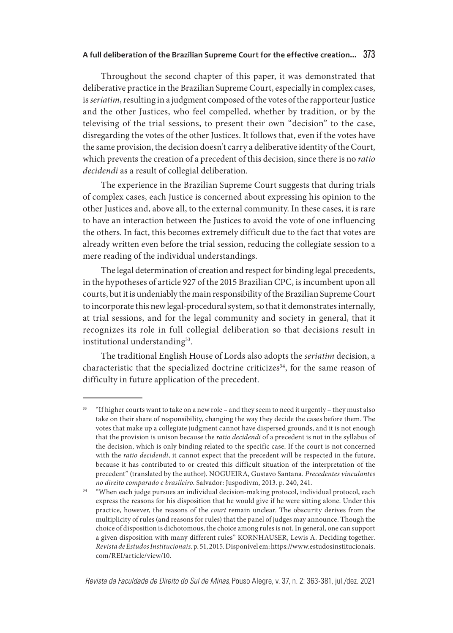Throughout the second chapter of this paper, it was demonstrated that deliberative practice in the Brazilian Supreme Court, especially in complex cases, is *seriatim*, resulting in a judgment composed of the votes of the rapporteur Justice and the other Justices, who feel compelled, whether by tradition, or by the televising of the trial sessions, to present their own "decision" to the case, disregarding the votes of the other Justices. It follows that, even if the votes have the same provision, the decision doesn't carry a deliberative identity of the Court, which prevents the creation of a precedent of this decision, since there is no *ratio decidendi* as a result of collegial deliberation.

The experience in the Brazilian Supreme Court suggests that during trials of complex cases, each Justice is concerned about expressing his opinion to the other Justices and, above all, to the external community. In these cases, it is rare to have an interaction between the Justices to avoid the vote of one influencing the others. In fact, this becomes extremely difficult due to the fact that votes are already written even before the trial session, reducing the collegiate session to a mere reading of the individual understandings.

The legal determination of creation and respect for binding legal precedents, in the hypotheses of article 927 of the 2015 Brazilian CPC, is incumbent upon all courts, but it is undeniably the main responsibility of the Brazilian Supreme Court to incorporate this new legal-procedural system, so that it demonstrates internally, at trial sessions, and for the legal community and society in general, that it recognizes its role in full collegial deliberation so that decisions result in institutional understanding<sup>33</sup>.

The traditional English House of Lords also adopts the *seriatim* decision, a characteristic that the specialized doctrine criticizes<sup>34</sup>, for the same reason of difficulty in future application of the precedent.

<sup>33</sup> "If higher courts want to take on a new role – and they seem to need it urgently – they must also take on their share of responsibility, changing the way they decide the cases before them. The votes that make up a collegiate judgment cannot have dispersed grounds, and it is not enough that the provision is unison because the *ratio decidendi* of a precedent is not in the syllabus of the decision, which is only binding related to the specific case. If the court is not concerned with the *ratio decidendi*, it cannot expect that the precedent will be respected in the future, because it has contributed to or created this difficult situation of the interpretation of the precedent" (translated by the author). NOGUEIRA, Gustavo Santana. *Precedentes vinculantes no direito comparado e brasileiro*. Salvador: Juspodivm, 2013. p. 240, 241.

<sup>&</sup>lt;sup>34</sup> "When each judge pursues an individual decision-making protocol, individual protocol, each express the reasons for his disposition that he would give if he were sitting alone. Under this practice, however, the reasons of the *court* remain unclear. The obscurity derives from the multiplicity of rules (and reasons for rules) that the panel of judges may announce. Though the choice of disposition is dichotomous, the choice among rules is not. In general, one can support a given disposition with many different rules" KORNHAUSER, Lewis A. Deciding together. *Revista de Estudos Institucionais*. p. 51, 2015. Disponível em: https://www.estudosinstitucionais. com/REI/article/view/10.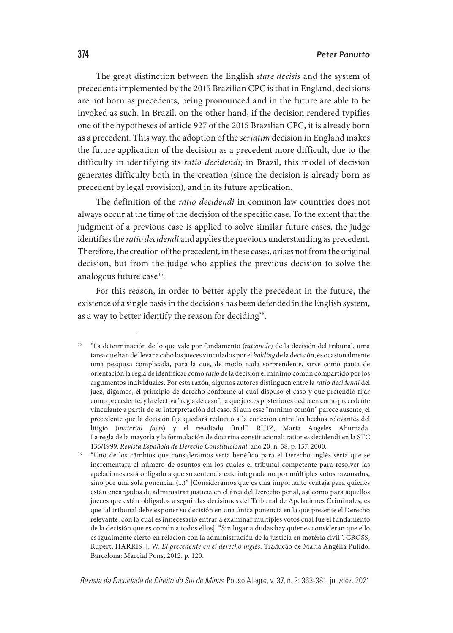The great distinction between the English *stare decisis* and the system of precedents implemented by the 2015 Brazilian CPC is that in England, decisions are not born as precedents, being pronounced and in the future are able to be invoked as such. In Brazil, on the other hand, if the decision rendered typifies one of the hypotheses of article 927 of the 2015 Brazilian CPC, it is already born as a precedent. This way, the adoption of the *seriatim* decision in England makes the future application of the decision as a precedent more difficult, due to the difficulty in identifying its *ratio decidendi*; in Brazil, this model of decision generates difficulty both in the creation (since the decision is already born as precedent by legal provision), and in its future application.

The definition of the *ratio decidendi* in common law countries does not always occur at the time of the decision of the specific case. To the extent that the judgment of a previous case is applied to solve similar future cases, the judge identifies the *ratio decidendi* and applies the previous understanding as precedent. Therefore, the creation of the precedent, in these cases, arises not from the original decision, but from the judge who applies the previous decision to solve the analogous future case<sup>35</sup>.

For this reason, in order to better apply the precedent in the future, the existence of a single basis in the decisions has been defended in the English system, as a way to better identify the reason for deciding<sup>36</sup>.

<sup>35</sup> "La determinación de lo que vale por fundamento (*rationale*) de la decisión del tribunal, uma tarea que han de llevar a cabo los jueces vinculados por el *holding* de la decisión, és ocasionalmente uma pesquisa complicada, para la que, de modo nada sorprendente, sirve como pauta de orientación la regla de identificar como *ratio* de la decisión el mínimo común compartido por los argumentos individuales. Por esta razón, algunos autores distinguen entre la *ratio decidendi* del juez, digamos, el principio de derecho conforme al cual dispuso el caso y que pretendió fijar como precedente, y la efectiva "regla de caso", la que jueces posteriores deducen como precedente vinculante a partir de su interpretación del caso. Si aun esse "mínimo común" parece ausente, el precedente que la decisión fija quedará reducito a la conexión entre los hechos relevantes del litigio (*material facts*) y el resultado final". RUIZ, Maria Angeles Ahumada. La regla de la mayoría y la formulación de doctrina constitucional: rationes decidendi en la STC 136/1999. *Revista Española de Derecho Constitucional*. ano 20, n. 58, p. 157, 2000.

<sup>36</sup> "Uno de los câmbios que consideramos sería benéfico para el Derecho inglés sería que se incrementara el número de asuntos em los cuales el tribunal competente para resolver las apelaciones está obligado a que su sentencia este integrada no por múltiples votos razonados, sino por una sola ponencia. (...)" [Consideramos que es una importante ventaja para quienes están encargados de administrar justicia en el área del Derecho penal, así como para aquellos jueces que están obligados a seguir las decisiones del Tribunal de Apelaciones Criminales, es que tal tribunal debe exponer su decisión en una única ponencia en la que presente el Derecho relevante, con lo cual es innecesario entrar a examinar múltiples votos cuál fue el fundamento de la decisión que es común a todos ellos]. "Sin lugar a dudas hay quienes consideran que ello es igualmente cierto en relación con la administración de la justicia en matéria civil". CROSS, Rupert; HARRIS, J. W. *El precedente en el derecho inglés*. Tradução de Maria Angélia Pulido. Barcelona: Marcial Pons, 2012. p. 120.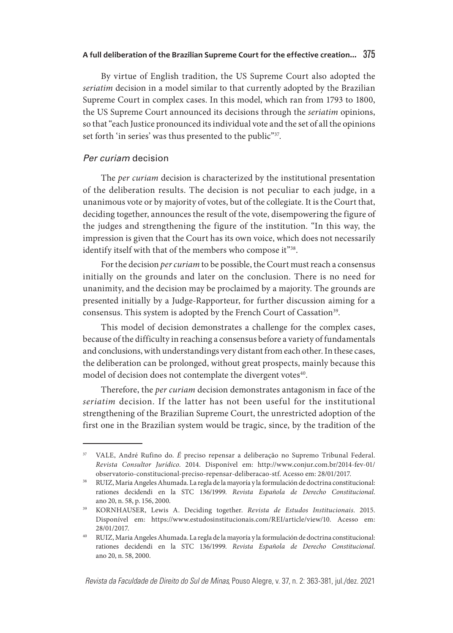By virtue of English tradition, the US Supreme Court also adopted the *seriatim* decision in a model similar to that currently adopted by the Brazilian Supreme Court in complex cases. In this model, which ran from 1793 to 1800, the US Supreme Court announced its decisions through the *seriatim* opinions, so that "each Justice pronounced its individual vote and the set of all the opinions set forth 'in series' was thus presented to the public"37.

## Per curiam decision

The *per curiam* decision is characterized by the institutional presentation of the deliberation results. The decision is not peculiar to each judge, in a unanimous vote or by majority of votes, but of the collegiate. It is the Court that, deciding together, announces the result of the vote, disempowering the figure of the judges and strengthening the figure of the institution. "In this way, the impression is given that the Court has its own voice, which does not necessarily identify itself with that of the members who compose it"38.

For the decision *per curiam* to be possible, the Court must reach a consensus initially on the grounds and later on the conclusion. There is no need for unanimity, and the decision may be proclaimed by a majority. The grounds are presented initially by a Judge-Rapporteur, for further discussion aiming for a consensus. This system is adopted by the French Court of Cassation<sup>39</sup>.

This model of decision demonstrates a challenge for the complex cases, because of the difficulty in reaching a consensus before a variety of fundamentals and conclusions, with understandings very distant from each other. In these cases, the deliberation can be prolonged, without great prospects, mainly because this model of decision does not contemplate the divergent votes<sup>40</sup>.

Therefore, the *per curiam* decision demonstrates antagonism in face of the *seriatim* decision. If the latter has not been useful for the institutional strengthening of the Brazilian Supreme Court, the unrestricted adoption of the first one in the Brazilian system would be tragic, since, by the tradition of the

<sup>37</sup> VALE, André Rufino do. *É* preciso repensar a deliberação no Supremo Tribunal Federal. *Revista Consultor Jurídico*. 2014. Disponível em: http://www.conjur.com.br/2014-fev-01/ observatorio-constitucional-preciso-repensar-deliberacao-stf. Acesso em: 28/01/2017.

<sup>38</sup> RUIZ, Maria Angeles Ahumada. La regla de la mayoría y la formulación de doctrina constitucional: rationes decidendi en la STC 136/1999. *Revista Española de Derecho Constitucional*. ano 20, n. 58, p. 156, 2000.

<sup>39</sup> KORNHAUSER, Lewis A. Deciding together. *Revista de Estudos Institucionais*. 2015. Disponível em: https://www.estudosinstitucionais.com/REI/article/view/10. Acesso em: 28/01/2017.

<sup>40</sup> RUIZ, Maria Angeles Ahumada. La regla de la mayoría y la formulación de doctrina constitucional: rationes decidendi en la STC 136/1999. *Revista Española de Derecho Constitucional*. ano 20, n. 58, 2000.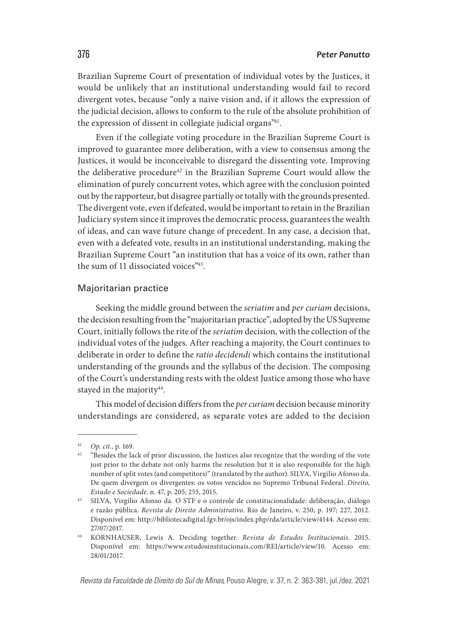Brazilian Supreme Court of presentation of individual votes by the Justices, it would be unlikely that an institutional understanding would fail to record divergent votes, because "only a naive vision and, if it allows the expression of the judicial decision, allows to conform to the rule of the absolute prohibition of the expression of dissent in collegiate judicial organs"41.

Even if the collegiate voting procedure in the Brazilian Supreme Court is improved to guarantee more deliberation, with a view to consensus among the Justices, it would be inconceivable to disregard the dissenting vote. Improving the deliberative procedure<sup>42</sup> in the Brazilian Supreme Court would allow the elimination of purely concurrent votes, which agree with the conclusion pointed out by the rapporteur, but disagree partially or totally with the grounds presented. The divergent vote, even if defeated, would be important to retain in the Brazilian Judiciary system since it improves the democratic process, guarantees the wealth of ideas, and can wave future change of precedent. In any case, a decision that, even with a defeated vote, results in an institutional understanding, making the Brazilian Supreme Court "an institution that has a voice of its own, rather than the sum of 11 dissociated voices"43.

## Majoritarian practice

Seeking the middle ground between the *seriatim* and *per curiam* decisions, the decision resulting from the "majoritarian practice", adopted by the US Supreme Court, initially follows the rite of the *seriatim* decision, with the collection of the individual votes of the judges. After reaching a majority, the Court continues to deliberate in order to define the *ratio decidendi* which contains the institutional understanding of the grounds and the syllabus of the decision. The composing of the Court's understanding rests with the oldest Justice among those who have stayed in the majority<sup>44</sup>.

This model of decision differs from the *per curiam* decision because minority understandings are considered, as separate votes are added to the decision

<sup>41</sup> *Op. cit*., p. 169.

<sup>&</sup>lt;sup>42</sup> "Besides the lack of prior discussion, the Justices also recognize that the wording of the vote just prior to the debate not only harms the resolution but it is also responsible for the high number of split votes (and competitors)" (translated by the author). SILVA, Virgilio Afonso da. De quem divergem os divergentes: os votos vencidos no Supremo Tribunal Federal. *Direito, Estado e Sociedade*. n. 47, p. 205; 255, 2015.

<sup>43</sup> SILVA, Virgílio Afonso da. O STF e o controle de constitucionalidade: deliberação, diálogo e razão pública. *Revista de Direito Administrativo*. Rio de Janeiro, v. 250, p. 197; 227, 2012. Disponível em: http://bibliotecadigital.fgv.br/ojs/index.php/rda/article/view/4144. Acesso em: 27/07/2017.

<sup>44</sup> KORNHAUSER, Lewis A. Deciding together. *Revista de Estudos Institucionais*. 2015. Disponível em: https://www.estudosinstitucionais.com/REI/article/view/10. Acesso em: 28/01/2017.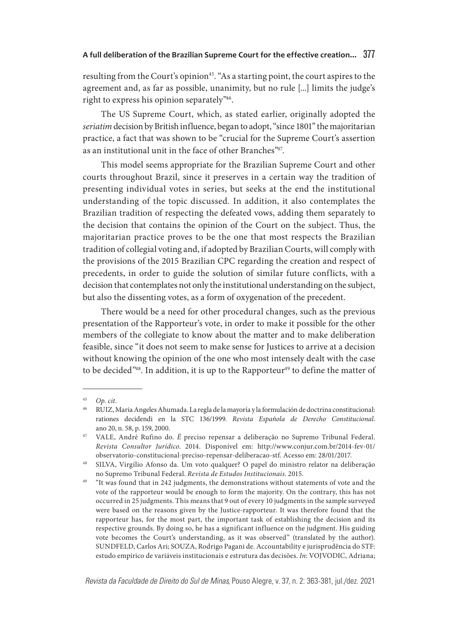resulting from the Court's opinion<sup>45</sup>. "As a starting point, the court aspires to the agreement and, as far as possible, unanimity, but no rule [...] limits the judge's right to express his opinion separately"46.

The US Supreme Court, which, as stated earlier, originally adopted the *seriatim* decision by British influence, began to adopt, "since 1801" the majoritarian practice, a fact that was shown to be "crucial for the Supreme Court's assertion as an institutional unit in the face of other Branches"47.

This model seems appropriate for the Brazilian Supreme Court and other courts throughout Brazil, since it preserves in a certain way the tradition of presenting individual votes in series, but seeks at the end the institutional understanding of the topic discussed. In addition, it also contemplates the Brazilian tradition of respecting the defeated vows, adding them separately to the decision that contains the opinion of the Court on the subject. Thus, the majoritarian practice proves to be the one that most respects the Brazilian tradition of collegial voting and, if adopted by Brazilian Courts, will comply with the provisions of the 2015 Brazilian CPC regarding the creation and respect of precedents, in order to guide the solution of similar future conflicts, with a decision that contemplates not only the institutional understanding on the subject, but also the dissenting votes, as a form of oxygenation of the precedent.

There would be a need for other procedural changes, such as the previous presentation of the Rapporteur's vote, in order to make it possible for the other members of the collegiate to know about the matter and to make deliberation feasible, since "it does not seem to make sense for Justices to arrive at a decision without knowing the opinion of the one who most intensely dealt with the case to be decided"48. In addition, it is up to the Rapporteur<sup>49</sup> to define the matter of

<sup>45</sup> *Op. cit*.

<sup>46</sup> RUIZ, Maria Angeles Ahumada. La regla de la mayoría y la formulación de doctrina constitucional: rationes decidendi en la STC 136/1999. *Revista Española de Derecho Constitucional*. ano 20, n. 58, p. 159, 2000.

<sup>47</sup> VALE, André Rufino do. *É* preciso repensar a deliberação no Supremo Tribunal Federal. *Revista Consultor Jurídico*. 2014. Disponível em: http://www.conjur.com.br/2014-fev-01/ observatorio-constitucional-preciso-repensar-deliberacao-stf. Acesso em: 28/01/2017.

<sup>48</sup> SILVA, Virgílio Afonso da. Um voto qualquer? O papel do ministro relator na deliberação no Supremo Tribunal Federal. *Revista de Estudos Institucionais*. 2015.

<sup>49</sup> "It was found that in 242 judgments, the demonstrations without statements of vote and the vote of the rapporteur would be enough to form the majority. On the contrary, this has not occurred in 25 judgments. This means that 9 out of every 10 judgments in the sample surveyed were based on the reasons given by the Justice-rapporteur. It was therefore found that the rapporteur has, for the most part, the important task of establishing the decision and its respective grounds. By doing so, he has a significant influence on the judgment. His guiding vote becomes the Court's understanding, as it was observed" (translated by the author). SUNDFELD, Carlos Ari; SOUZA, Rodrigo Pagani de. Accountability e jurisprudência do STF: estudo empírico de variáveis institucionais e estrutura das decisões. *In*: VOJVODIC, Adriana;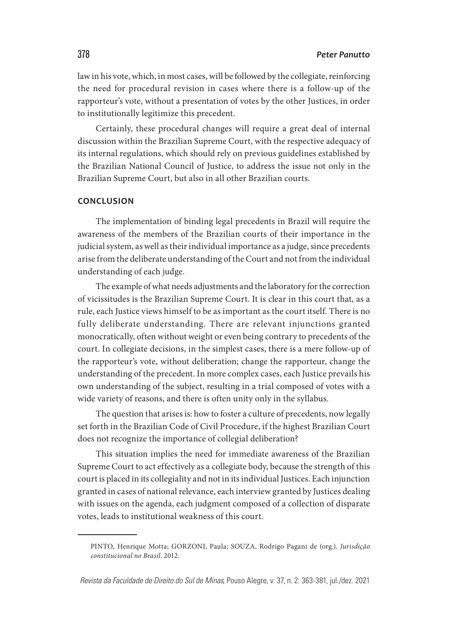law in his vote, which, in most cases, will be followed by the collegiate, reinforcing the need for procedural revision in cases where there is a follow-up of the rapporteur's vote, without a presentation of votes by the other Justices, in order to institutionally legitimize this precedent.

Certainly, these procedural changes will require a great deal of internal discussion within the Brazilian Supreme Court, with the respective adequacy of its internal regulations, which should rely on previous guidelines established by the Brazilian National Council of Justice, to address the issue not only in the Brazilian Supreme Court, but also in all other Brazilian courts.

#### **CONCLUSION**

The implementation of binding legal precedents in Brazil will require the awareness of the members of the Brazilian courts of their importance in the judicial system, as well as their individual importance as a judge, since precedents arise from the deliberate understanding of the Court and not from the individual understanding of each judge.

The example of what needs adjustments and the laboratory for the correction of vicissitudes is the Brazilian Supreme Court. It is clear in this court that, as a rule, each Justice views himself to be as important as the court itself. There is no fully deliberate understanding. There are relevant injunctions granted monocratically, often without weight or even being contrary to precedents of the court. In collegiate decisions, in the simplest cases, there is a mere follow-up of the rapporteur's vote, without deliberation; change the rapporteur, change the understanding of the precedent. In more complex cases, each Justice prevails his own understanding of the subject, resulting in a trial composed of votes with a wide variety of reasons, and there is often unity only in the syllabus.

The question that arises is: how to foster a culture of precedents, now legally set forth in the Brazilian Code of Civil Procedure, if the highest Brazilian Court does not recognize the importance of collegial deliberation?

This situation implies the need for immediate awareness of the Brazilian Supreme Court to act effectively as a collegiate body, because the strength of this court is placed in its collegiality and not in its individual Justices. Each injunction granted in cases of national relevance, each interview granted by Justices dealing with issues on the agenda, each judgment composed of a collection of disparate votes, leads to institutional weakness of this court.

PINTO, Henrique Motta; GORZONI, Paula; SOUZA, Rodrigo Pagani de (org.). *Jurisdição constitucional no Brasil*. 2012.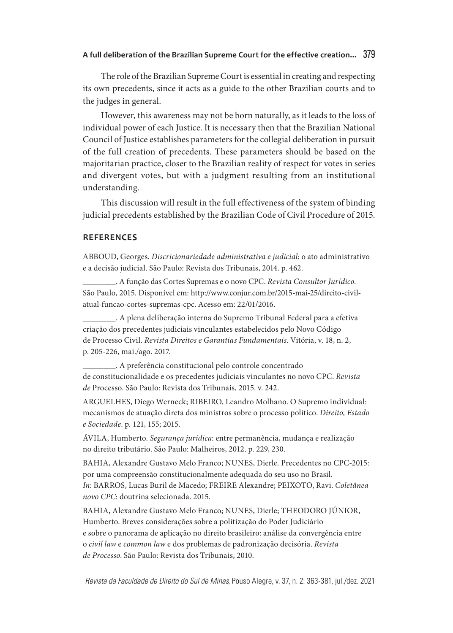The role of the Brazilian Supreme Court is essential in creating and respecting its own precedents, since it acts as a guide to the other Brazilian courts and to the judges in general.

However, this awareness may not be born naturally, as it leads to the loss of individual power of each Justice. It is necessary then that the Brazilian National Council of Justice establishes parameters for the collegial deliberation in pursuit of the full creation of precedents. These parameters should be based on the majoritarian practice, closer to the Brazilian reality of respect for votes in series and divergent votes, but with a judgment resulting from an institutional understanding.

This discussion will result in the full effectiveness of the system of binding judicial precedents established by the Brazilian Code of Civil Procedure of 2015.

## **REFERENCES**

ABBOUD, Georges. *Discricionariedade administrativa e judicial*: o ato administrativo e a decisão judicial. São Paulo: Revista dos Tribunais, 2014. p. 462.

\_\_\_\_\_\_\_\_. A função das Cortes Supremas e o novo CPC. *Revista Consultor Jurídico*. São Paulo, 2015. Disponível em: http://www.conjur.com.br/2015-mai-25/direito-civilatual-funcao-cortes-supremas-cpc. Acesso em: 22/01/2016.

\_\_\_\_\_\_\_\_. A plena deliberação interna do Supremo Tribunal Federal para a efetiva criação dos precedentes judiciais vinculantes estabelecidos pelo Novo Código de Processo Civil. *Revista Direitos e Garantias Fundamentais*. Vitória, v. 18, n. 2, p. 205-226, mai./ago. 2017.

\_\_\_\_\_\_\_\_. A preferência constitucional pelo controle concentrado de constitucionalidade e os precedentes judiciais vinculantes no novo CPC. *Revista de* Processo. São Paulo: Revista dos Tribunais, 2015. v. 242.

ARGUELHES, Diego Werneck; RIBEIRO, Leandro Molhano. O Supremo individual: mecanismos de atuação direta dos ministros sobre o processo político. *Direito, Estado e Sociedade*. p. 121, 155; 2015.

ÁVILA, Humberto. *Segurança jurídica*: entre permanência, mudança e realização no direito tributário. São Paulo: Malheiros, 2012. p. 229, 230.

BAHIA, Alexandre Gustavo Melo Franco; NUNES, Dierle. Precedentes no CPC-2015: por uma compreensão constitucionalmente adequada do seu uso no Brasil. *In*: BARROS, Lucas Buril de Macedo; FREIRE Alexandre; PEIXOTO, Ravi. *Coletânea novo CPC*: doutrina selecionada. 2015.

BAHIA, Alexandre Gustavo Melo Franco; NUNES, Dierle; THEODORO JÚNIOR, Humberto. Breves considerações sobre a politização do Poder Judiciário e sobre o panorama de aplicação no direito brasileiro: análise da convergência entre o *civil law* e *common law* e dos problemas de padronização decisória. *Revista de Processo*. São Paulo: Revista dos Tribunais, 2010.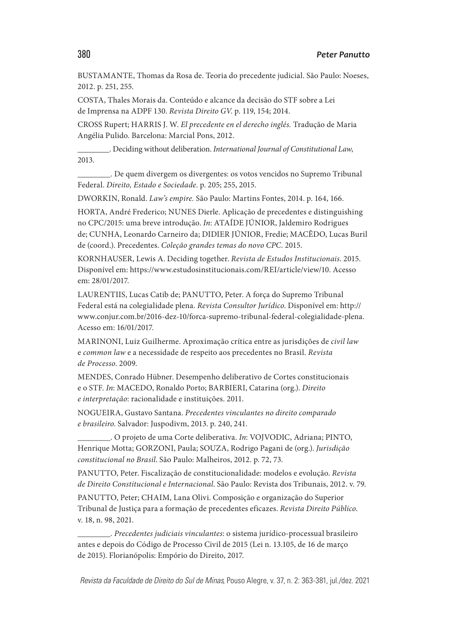BUSTAMANTE, Thomas da Rosa de. Teoria do precedente judicial. São Paulo: Noeses, 2012. p. 251, 255.

COSTA, Thales Morais da. Conteúdo e alcance da decisão do STF sobre a Lei de Imprensa na ADPF 130. *Revista Direito GV*. p. 119, 154; 2014.

CROSS Rupert; HARRIS J. W. *El precedente en el derecho inglés.* Tradução de Maria Angélia Pulido. Barcelona: Marcial Pons, 2012.

\_\_\_\_\_\_\_\_. Deciding without deliberation. *International Journal of Constitutional Law*, 2013.

\_\_\_\_\_\_\_\_. De quem divergem os divergentes: os votos vencidos no Supremo Tribunal Federal. *Direito, Estado e Sociedade*. p. 205; 255, 2015.

DWORKIN, Ronald. *Law's empire.* São Paulo: Martins Fontes, 2014. p. 164, 166.

HORTA, André Frederico; NUNES Dierle. Aplicação de precedentes e distinguishing no CPC/2015: uma breve introdução. *In*: ATAÍDE JÚNIOR, Jaldemiro Rodrigues de; CUNHA, Leonardo Carneiro da; DIDIER JÚNIOR, Fredie; MACÊDO, Lucas Buril de (coord.). Precedentes. *Coleção grandes temas do novo CPC*. 2015.

KORNHAUSER, Lewis A. Deciding together. *Revista de Estudos Institucionais*. 2015. Disponível em: https://www.estudosinstitucionais.com/REI/article/view/10. Acesso em: 28/01/2017.

LAURENTIIS, Lucas Catib de; PANUTTO, Peter. A força do Supremo Tribunal Federal está na colegialidade plena. *Revista Consultor Jurídico*. Disponível em: http:// www.conjur.com.br/2016-dez-10/forca-supremo-tribunal-federal-colegialidade-plena. Acesso em: 16/01/2017.

MARINONI, Luiz Guilherme. Aproximação crítica entre as jurisdições de *civil law*  e *common law* e a necessidade de respeito aos precedentes no Brasil. *Revista de Processo*. 2009.

MENDES, Conrado Hübner. Desempenho deliberativo de Cortes constitucionais e o STF. *In*: MACEDO, Ronaldo Porto; BARBIERI, Catarina (org.). *Direito e interpretação*: racionalidade e instituições. 2011.

NOGUEIRA, Gustavo Santana. *Precedentes vinculantes no direito comparado e brasileiro*. Salvador: Juspodivm, 2013. p. 240, 241.

\_\_\_\_\_\_\_\_. O projeto de uma Corte deliberativa. *In*: VOJVODIC, Adriana; PINTO, Henrique Motta; GORZONI, Paula; SOUZA, Rodrigo Pagani de (org.). *Jurisdição constitucional no Brasil*. São Paulo: Malheiros, 2012. p. 72, 73.

PANUTTO, Peter. Fiscalização de constitucionalidade: modelos e evolução. *Revista de Direito Constitucional e Internacional*. São Paulo: Revista dos Tribunais, 2012. v. 79.

PANUTTO, Peter; CHAIM, Lana Olivi. Composição e organização do Superior Tribunal de Justiça para a formação de precedentes eficazes. *Revista Direito Público*. v. 18, n. 98, 2021.

\_\_\_\_\_\_\_\_. *Precedentes judiciais vinculantes*: o sistema jurídico-processual brasileiro antes e depois do Código de Processo Civil de 2015 (Lei n. 13.105, de 16 de março de 2015). Florianópolis: Empório do Direito, 2017.

#### 380